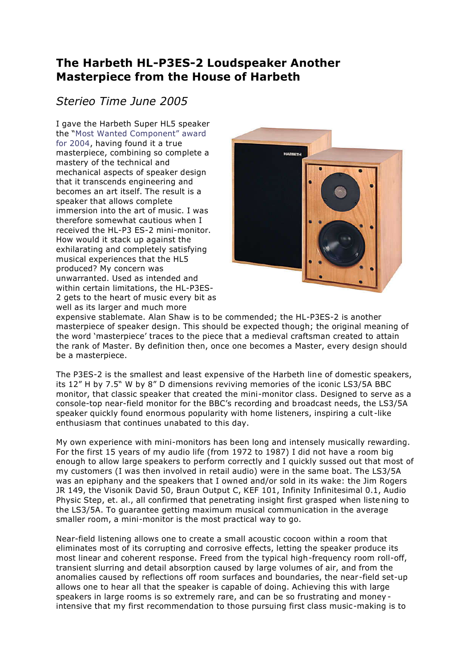## **The Harbeth HL-P3ES-2 Loudspeaker Another Masterpiece from the House of Harbeth**

## *Sterieo Time June 2005*

I gave the Harbeth Super HL5 speaker the "Most Wanted Component" award for 2004, having found it a true masterpiece, combining so complete a mastery of the technical and mechanical aspects of speaker design that it transcends engineering and becomes an art itself. The result is a speaker that allows complete immersion into the art of music. I was therefore somewhat cautious when I received the HL-P3 ES-2 mini-monitor. How would it stack up against the exhilarating and completely satisfying musical experiences that the HL5 produced? My concern was unwarranted. Used as intended and within certain limitations, the HL-P3ES- 2 gets to the heart of music every bit as well as its larger and much more



expensive stablemate. Alan Shaw is to be commended; the HL-P3ES-2 is another masterpiece of speaker design. This should be expected though; the original meaning of the word 'masterpiece' traces to the piece that a medieval craftsman created to attain the rank of Master. By definition then, once one becomes a Master, every design should be a masterpiece.

The P3ES-2 is the smallest and least expensive of the Harbeth line of domestic speakers, its 12" H by 7.5" W by 8" D dimensions reviving memories of the iconic LS3/5A BBC monitor, that classic speaker that created the mini-monitor class. Designed to serve as a console-top near-field monitor for the BBC's recording and broadcast needs, the LS3/5A speaker quickly found enormous popularity with home listeners, inspiring a cult -like enthusiasm that continues unabated to this day.

My own experience with mini-monitors has been long and intensely musically rewarding. For the first 15 years of my audio life (from 1972 to 1987) I did not have a room big enough to allow large speakers to perform correctly and I quickly sussed out that most of my customers (I was then involved in retail audio) were in the same boat. The LS3/5A was an epiphany and the speakers that I owned and/or sold in its wake: the Jim Rogers JR 149, the Visonik David 50, Braun Output C, KEF 101, Infinity Infinitesimal 0.1, Audio Physic Step, et. al., all confirmed that penetrating insight first grasped when liste ning to the LS3/5A. To guarantee getting maximum musical communication in the average smaller room, a mini-monitor is the most practical way to go.

Near-field listening allows one to create a small acoustic cocoon within a room that eliminates most of its corrupting and corrosive effects, letting the speaker produce its most linear and coherent response. Freed from the typical high-frequency room roll-off, transient slurring and detail absorption caused by large volumes of air, and from the anomalies caused by reflections off room surfaces and boundaries, the near-field set-up allows one to hear all that the speaker is capable of doing. Achieving this with large speakers in large rooms is so extremely rare, and can be so frustrating and money intensive that my first recommendation to those pursuing first class music-making is to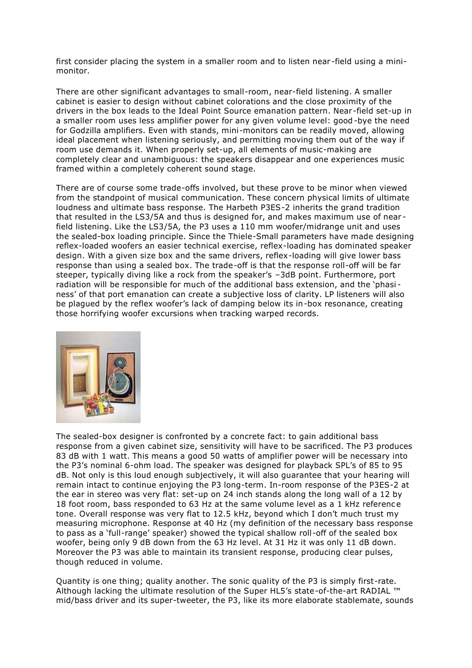first consider placing the system in a smaller room and to listen near -field using a mini monitor.

There are other significant advantages to small-room, near-field listening. A smaller cabinet is easier to design without cabinet colorations and the close proximity of the drivers in the box leads to the Ideal Point Source emanation pattern. Near -field set-up in a smaller room uses less amplifier power for any given volume level: good -bye the need for Godzilla amplifiers. Even with stands, mini-monitors can be readily moved, allowing ideal placement when listening seriously, and permitting moving them out of the way if room use demands it. When properly set-up, all elements of music-making are completely clear and unambiguous: the speakers disappear and one experiences music framed within a completely coherent sound stage.

There are of course some trade-offs involved, but these prove to be minor when viewed from the standpoint of musical communication. These concern physical limits of ultimate loudness and ultimate bass response. The Harbeth P3ES-2 inherits the grand tradition that resulted in the LS3/5A and thus is designed for, and makes maximum use of near field listening. Like the LS3/5A, the P3 uses a 110 mm woofer/midrange unit and uses the sealed-box loading principle. Since the Thiele-Small parameters have made designing reflex-loaded woofers an easier technical exercise, reflex-loading has dominated speaker design. With a given size box and the same drivers, reflex-loading will give lower bass response than using a sealed box. The trade-off is that the response roll-off will be far steeper, typically diving like a rock from the speaker's –3dB point. Furthermore, port radiation will be responsible for much of the additional bass extension, and the 'phasi ness' of that port emanation can create a subjective loss of clarity. LP listeners will also be plagued by the reflex woofer's lack of damping below its in-box resonance, creating those horrifying woofer excursions when tracking warped records.



The sealed-box designer is confronted by a concrete fact: to gain additional bass response from a given cabinet size, sensitivity will have to be sacrificed. The P3 produces 83 dB with 1 watt. This means a good 50 watts of amplifier power will be necessary into the P3's nominal 6-ohm load. The speaker was designed for playback SPL's of 85 to 95 dB. Not only is this loud enough subjectively, it will also guarantee that your hearing will remain intact to continue enjoying the P3 long-term. In-room response of the P3ES-2 at the ear in stereo was very flat: set-up on 24 inch stands along the long wall of a 12 by 18 foot room, bass responded to 63 Hz at the same volume level as a 1 kHz reference tone. Overall response was very flat to 12.5 kHz, beyond which I don't much trust my measuring microphone. Response at 40 Hz (my definition of the necessary bass response to pass as a 'full-range' speaker) showed the typical shallow roll-off of the sealed box woofer, being only 9 dB down from the 63 Hz level. At 31 Hz it was only 11 dB down. Moreover the P3 was able to maintain its transient response, producing clear pulses, though reduced in volume.

Quantity is one thing; quality another. The sonic quality of the P3 is simply first-rate. Although lacking the ultimate resolution of the Super HL5's state-of-the-art RADIAL ™ mid/bass driver and its super-tweeter, the P3, like its more elaborate stablemate, sounds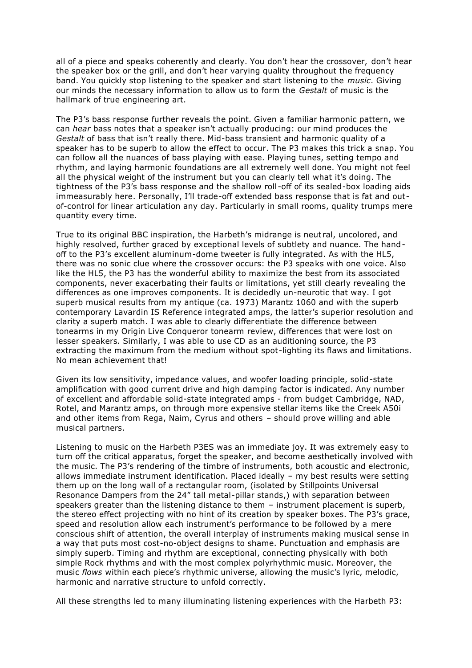all of a piece and speaks coherently and clearly. You don't hear the crossover, don't hear the speaker box or the grill, and don't hear varying quality throughout the frequency band. You quickly stop listening to the speaker and start listening to the *music*. Giving our minds the necessary information to allow us to form the *Gestalt* of music is the hallmark of true engineering art.

The P3's bass response further reveals the point. Given a familiar harmonic pattern, we can *hear* bass notes that a speaker isn't actually producing: our mind produces the *Gestalt* of bass that isn't really there. Mid-bass transient and harmonic quality of a speaker has to be superb to allow the effect to occur. The P3 makes this trick a snap. You can follow all the nuances of bass playing with ease. Playing tunes, setting tempo and rhythm, and laying harmonic foundations are all extremely well done. You might not feel all the physical weight of the instrument but you can clearly tell what it's doing. The tightness of the P3's bass response and the shallow roll-off of its sealed-box loading aids immeasurably here. Personally, I'll trade-off extended bass response that is fat and outof-control for linear articulation any day. Particularly in small rooms, quality trumps mere quantity every time.

True to its original BBC inspiration, the Harbeth's midrange is neut ral, uncolored, and highly resolved, further graced by exceptional levels of subtlety and nuance. The hand off to the P3's excellent aluminum-dome tweeter is fully integrated. As with the HL5, there was no sonic clue where the crossover occurs: the P3 speaks with one voice. Also like the HL5, the P3 has the wonderful ability to maximize the best from its associated components, never exacerbating their faults or limitations, yet still clearly revealing the differences as one improves components. It is decidedly un-neurotic that way. I got superb musical results from my antique (ca. 1973) Marantz 1060 and with the superb contemporary Lavardin IS Reference integrated amps, the latter's superior resolution and clarity a superb match. I was able to clearly differentiate the difference between tonearms in my Origin Live Conqueror tonearm review, differences that were lost on lesser speakers. Similarly, I was able to use CD as an auditioning source, the P3 extracting the maximum from the medium without spot-lighting its flaws and limitations. No mean achievement that!

Given its low sensitivity, impedance values, and woofer loading principle, solid-state amplification with good current drive and high damping factor is indicated. Any number of excellent and affordable solid-state integrated amps - from budget Cambridge, NAD, Rotel, and Marantz amps, on through more expensive stellar items like the Creek A50i and other items from Rega, Naim, Cyrus and others – should prove willing and able musical partners.

Listening to music on the Harbeth P3ES was an immediate joy. It was extremely easy to turn off the critical apparatus, forget the speaker, and become aesthetically involved with the music. The P3's rendering of the timbre of instruments, both acoustic and electronic, allows immediate instrument identification. Placed ideally – my best results were setting them up on the long wall of a rectangular room, (isolated by Stillpoints Universal Resonance Dampers from the 24" tall metal-pillar stands,) with separation between speakers greater than the listening distance to them – instrument placement is superb, the stereo effect projecting with no hint of its creation by speaker boxes. The P3's grace, speed and resolution allow each instrument's performance to be followed by a mere conscious shift of attention, the overall interplay of instruments making musical sense in a way that puts most cost-no-object designs to shame. Punctuation and emphasis are simply superb. Timing and rhythm are exceptional, connecting physically with both simple Rock rhythms and with the most complex polyrhythmic music. Moreover, the music *flows* within each piece's rhythmic universe, allowing the music's lyric, melodic, harmonic and narrative structure to unfold correctly.

All these strengths led to many illuminating listening experiences with the Harbeth P3: